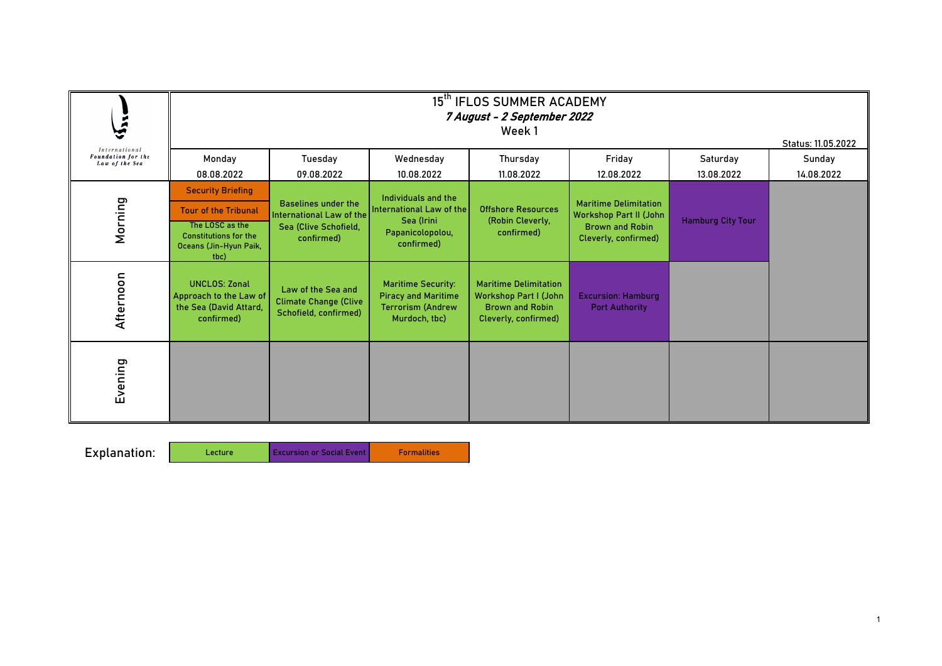Excursion or Social Event Formalities

Lecture

|                                                       | 15 <sup>th</sup> IFLOS SUMMER ACADEMY<br>7 August - 2 September 2022<br>Week 1<br>Status: 11.05.2022 |                                                                                                      |                                                                                                      |                                                                                                                |                                                                                                                 |                          |            |  |
|-------------------------------------------------------|------------------------------------------------------------------------------------------------------|------------------------------------------------------------------------------------------------------|------------------------------------------------------------------------------------------------------|----------------------------------------------------------------------------------------------------------------|-----------------------------------------------------------------------------------------------------------------|--------------------------|------------|--|
| International<br>Foundation for the<br>Law of the Sea | Monday                                                                                               | <b>Tuesday</b>                                                                                       | Wednesday                                                                                            | <b>Thursday</b>                                                                                                | Friday                                                                                                          | Saturday                 | Sunday     |  |
|                                                       | 08.08.2022                                                                                           | 09.08.2022                                                                                           | 10.08.2022                                                                                           | 11.08.2022                                                                                                     | 12.08.2022                                                                                                      | 13.08.2022               | 14.08.2022 |  |
|                                                       | <b>Security Briefing</b><br><b>Tour of the Tribunal</b>                                              | <b>Baselines under the</b><br><b>International Law of the</b><br>Sea (Clive Schofield,<br>confirmed) | Individuals and the<br>International Law of the<br>Sea (Irini<br>Papanicolopolou,<br>confirmed)      | <b>Offshore Resources</b><br>(Robin Cleverly,<br>confirmed)                                                    | <b>Maritime Delimitation</b><br><b>Workshop Part II (John</b><br><b>Brown and Robin</b><br>Cleverly, confirmed) | <b>Hamburg City Tour</b> |            |  |
| Morning                                               | The LOSC as the<br><b>Constitutions for the</b><br>Oceans (Jin-Hyun Paik,<br>tbc)                    |                                                                                                      |                                                                                                      |                                                                                                                |                                                                                                                 |                          |            |  |
| Afternoon                                             | <b>UNCLOS: Zonal</b><br>Approach to the Law of<br>the Sea (David Attard,<br>confirmed)               | Law of the Sea and<br><b>Climate Change (Clive</b><br>Schofield, confirmed)                          | <b>Maritime Security:</b><br><b>Piracy and Maritime</b><br><b>Terrorism (Andrew</b><br>Murdoch, tbc) | <b>Maritime Delimitation</b><br><b>Workshop Part I (John</b><br><b>Brown and Robin</b><br>Cleverly, confirmed) | <b>Excursion: Hamburg</b><br><b>Port Authority</b>                                                              |                          |            |  |
| Evening                                               |                                                                                                      |                                                                                                      |                                                                                                      |                                                                                                                |                                                                                                                 |                          |            |  |

Explanation: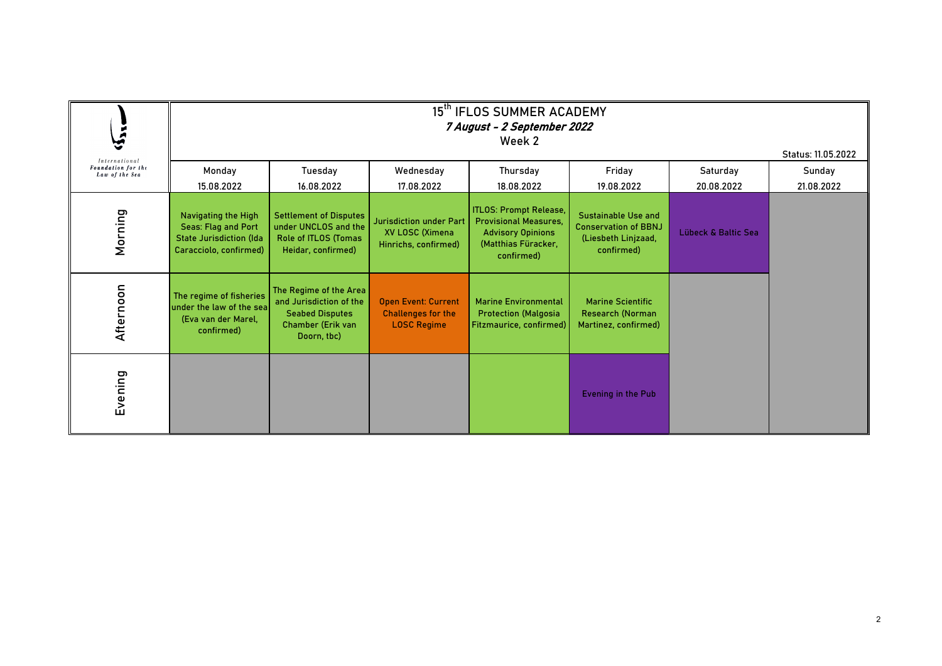| <i>International</i>                 | 15 <sup>th</sup> IFLOS SUMMER ACADEMY<br>7 August - 2 September 2022<br>Week 2<br>Status: 11.05.2022                               |                                                                                                                          |                                                                                         |                                                                                                                                              |                                                                                                              |                                   |            |  |
|--------------------------------------|------------------------------------------------------------------------------------------------------------------------------------|--------------------------------------------------------------------------------------------------------------------------|-----------------------------------------------------------------------------------------|----------------------------------------------------------------------------------------------------------------------------------------------|--------------------------------------------------------------------------------------------------------------|-----------------------------------|------------|--|
| Foundation for the<br>Law of the Sea | Monday                                                                                                                             | <b>Tuesday</b>                                                                                                           | Wednesday                                                                               | Thursday                                                                                                                                     | Friday                                                                                                       | Saturday                          | Sunday     |  |
| Morning                              | 15.08.2022<br><b>Navigating the High</b><br><b>Seas: Flag and Port</b><br><b>State Jurisdiction (Ida</b><br>Caracciolo, confirmed) | 16.08.2022<br><b>Settlement of Disputes</b><br>under UNCLOS and the<br><b>Role of ITLOS (Tomas</b><br>Heidar, confirmed) | 17.08.2022<br><b>Jurisdiction under Part</b><br>XV LOSC (Ximena<br>Hinrichs, confirmed) | 18.08.2022<br><b>ITLOS: Prompt Release,</b><br><b>Provisional Measures,</b><br><b>Advisory Opinions</b><br>(Matthias Füracker,<br>confirmed) | 19.08.2022<br><b>Sustainable Use and</b><br><b>Conservation of BBNJ</b><br>(Liesbeth Linjzaad,<br>confirmed) | 20.08.2022<br>Lübeck & Baltic Sea | 21.08.2022 |  |
| Afternoon                            | The regime of fisheries<br>under the law of the sea<br>(Eva van der Marel,<br>confirmed)                                           | The Regime of the Area<br>and Jurisdiction of the<br><b>Seabed Disputes</b><br><b>Chamber (Erik van</b><br>Doorn, tbc)   | <b>Open Event: Current</b><br><b>Challenges for the</b><br><b>LOSC Regime</b>           | <b>Marine Environmental</b><br><b>Protection (Malgosia</b><br>Fitzmaurice, confirmed)                                                        | <b>Marine Scientific</b><br><b>Research (Norman</b><br>Martinez, confirmed)                                  |                                   |            |  |
| Evening                              |                                                                                                                                    |                                                                                                                          |                                                                                         |                                                                                                                                              | <b>Evening in the Pub</b>                                                                                    |                                   |            |  |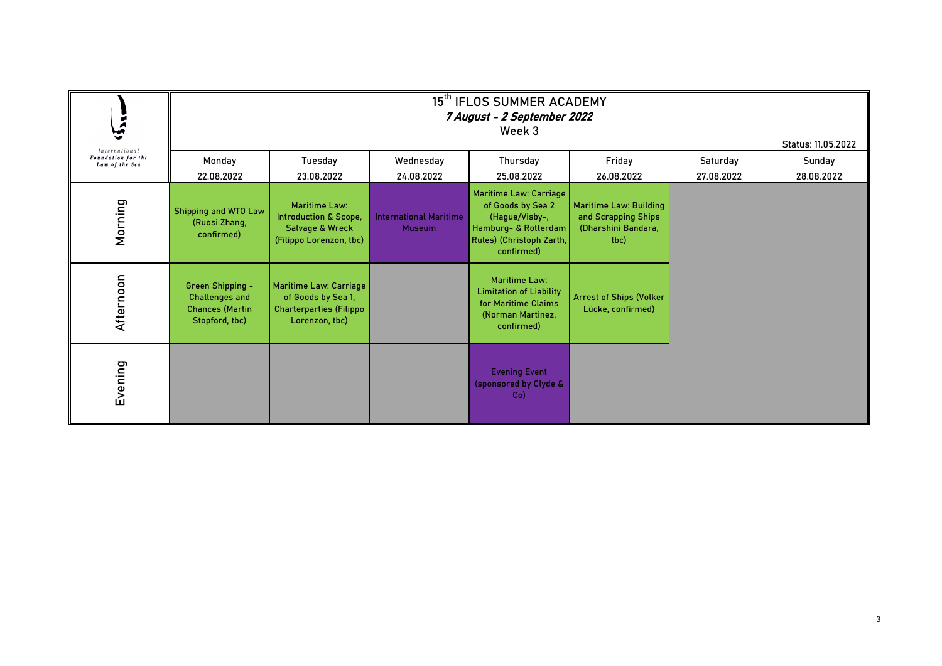|                                                              | 15 <sup>th</sup> IFLOS SUMMER ACADEMY<br>7 August - 2 September 2022<br>Week 3<br>Status: 11.05.2022 |                                                                                                                   |                                                |                                                                                                                                 |                                                                                     |                        |                      |  |
|--------------------------------------------------------------|------------------------------------------------------------------------------------------------------|-------------------------------------------------------------------------------------------------------------------|------------------------------------------------|---------------------------------------------------------------------------------------------------------------------------------|-------------------------------------------------------------------------------------|------------------------|----------------------|--|
| <b>International</b><br>Foundation for the<br>Law of the Sea | Monday<br>22.08.2022                                                                                 | <b>Tuesday</b><br>23.08.2022                                                                                      | Wednesday<br>24.08.2022                        | <b>Thursday</b><br>25.08.2022                                                                                                   | Friday<br>26.08.2022                                                                | Saturday<br>27.08.2022 | Sunday<br>28.08.2022 |  |
| Morning                                                      | <b>Shipping and WTO Law</b><br>(Ruosi Zhang,<br>confirmed)                                           | <b>Maritime Law:</b><br><b>Introduction &amp; Scope,</b><br><b>Salvage &amp; Wreck</b><br>(Filippo Lorenzon, tbc) | <b>International Maritime</b><br><b>Museum</b> | Maritime Law: Carriage<br>of Goods by Sea 2<br>(Hague/Visby-,<br>Hamburg- & Rotterdam<br>Rules) (Christoph Zarth,<br>confirmed) | <b>Maritime Law: Building</b><br>and Scrapping Ships<br>(Dharshini Bandara,<br>tbc) |                        |                      |  |
| Afternoon                                                    | <b>Green Shipping -</b><br><b>Challenges and</b><br><b>Chances (Martin</b><br>Stopford, tbc)         | Maritime Law: Carriage<br>of Goods by Sea 1,<br><b>Charterparties (Filippo</b><br>Lorenzon, tbc)                  |                                                | <b>Maritime Law:</b><br><b>Limitation of Liability</b><br>for Maritime Claims<br>(Norman Martinez,<br>confirmed)                | <b>Arrest of Ships (Volker</b><br>Lücke, confirmed)                                 |                        |                      |  |
| Evening                                                      |                                                                                                      |                                                                                                                   |                                                | <b>Evening Event</b><br>(sponsored by Clyde &<br>$Co$ )                                                                         |                                                                                     |                        |                      |  |